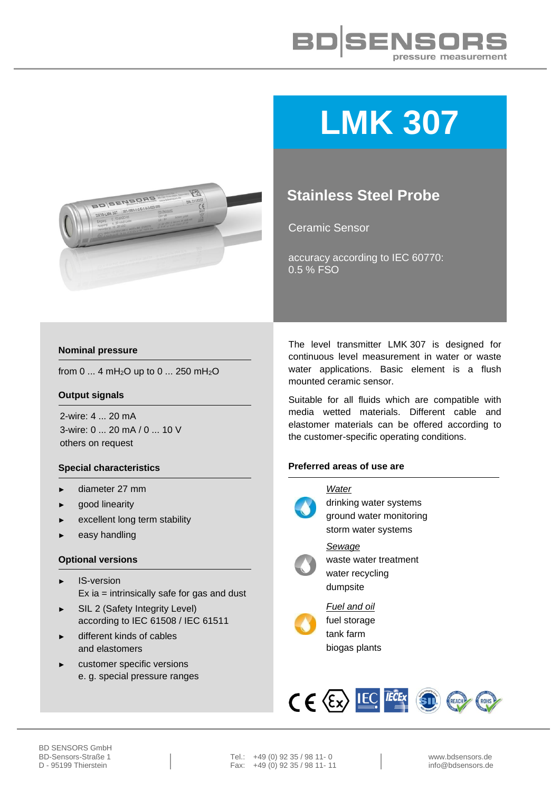



# **LMK 307**

## **Stainless Steel Probe**

Ceramic Sensor

accuracy according to IEC 60770: 0.5 % FSO

### **Nominal pressure**

from 0 ... 4 mH<sub>2</sub>O up to 0 ... 250 mH<sub>2</sub>O

#### **Output signals**

2-wire: 4 ... 20 mA 3-wire: 0 ... 20 mA / 0 ... 10 V others on request

### **Special characteristics**

- ► diameter 27 mm
- good linearity
- excellent long term stability
- easy handling

#### **Optional versions**

- IS-version Ex ia = intrinsically safe for gas and dust
- SIL 2 (Safety Integrity Level) according to IEC 61508 / IEC 61511
- different kinds of cables and elastomers
- customer specific versions e. g. special pressure ranges

The level transmitter LMK 307 is designed for continuous level measurement in water or waste water applications. Basic element is a flush mounted ceramic sensor.

Suitable for all fluids which are compatible with media wetted materials. Different cable and elastomer materials can be offered according to the customer-specific operating conditions.

#### **Preferred areas of use are**



*Water* drinking water systems ground water monitoring storm water systems *Sewage* waste water treatment water recycling dumpsite



*Fuel and oil* fuel storage tank farm biogas plants



BD-Sensors-Straße 1 Tel.: +49 (0) 92 35 / 98 11- 0 www.bdsensors.de<br>
D - 95199 Thierstein Fax: +49 (0) 92 35 / 98 11- 11 Fax:  $+49(0)$  92 35 / 98 11- 11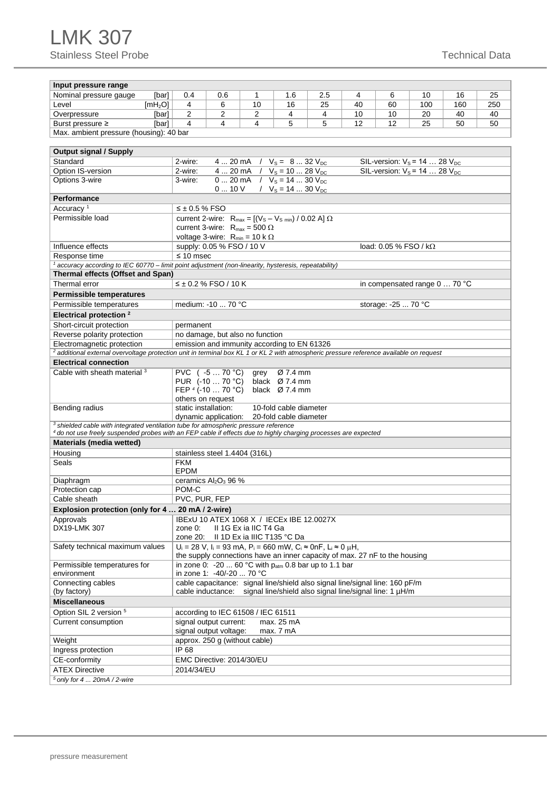## LMK 307 Stainless Steel Probe Technical Data

| Input pressure range                                                                                                                                                     |                                                                                       |                                          |                                           |                        |     |    |                     |     |     |     |  |  |
|--------------------------------------------------------------------------------------------------------------------------------------------------------------------------|---------------------------------------------------------------------------------------|------------------------------------------|-------------------------------------------|------------------------|-----|----|---------------------|-----|-----|-----|--|--|
| Nominal pressure gauge<br>[bar]                                                                                                                                          | 0.4                                                                                   | 0.6                                      | 1                                         | 1.6                    | 2.5 | 4  | 6                   | 10  | 16  | 25  |  |  |
| Level<br>[mH <sub>2</sub> O]                                                                                                                                             | 4                                                                                     | 6                                        | 10                                        | 16                     | 25  | 40 | 60                  | 100 | 160 | 250 |  |  |
| Overpressure<br>[bar]                                                                                                                                                    | 2                                                                                     | 2<br>2<br>4<br>4<br>10<br>10             |                                           |                        |     |    | 20                  | 40  | 40  |     |  |  |
| Burst pressure ≥<br>[bar]                                                                                                                                                | 4                                                                                     | 4<br>4<br>5<br>5<br>12<br>12<br>25<br>50 |                                           |                        |     |    |                     |     |     |     |  |  |
| Max. ambient pressure (housing): 40 bar                                                                                                                                  |                                                                                       |                                          |                                           |                        |     |    |                     |     |     |     |  |  |
|                                                                                                                                                                          |                                                                                       |                                          |                                           |                        |     |    |                     |     |     |     |  |  |
| <b>Output signal / Supply</b>                                                                                                                                            |                                                                                       |                                          |                                           |                        |     |    |                     |     |     |     |  |  |
| Standard                                                                                                                                                                 | 4  20 mA $/$ $V_s = 8$ 32 $V_{DC}$<br>SIL-version: $V_s = 14$ 28 $V_{DC}$<br>2-wire:  |                                          |                                           |                        |     |    |                     |     |     |     |  |  |
| Option IS-version                                                                                                                                                        | 4  20 mA $ / V_s = 10$ 28 $V_{DC}$<br>SIL-version: $V_s$ = 14  28 $V_{DC}$<br>2-wire: |                                          |                                           |                        |     |    |                     |     |     |     |  |  |
| Options 3-wire                                                                                                                                                           | 0  20 mA $/$ $V_s = 14$ 30 $V_{DC}$<br>3-wire:<br>0  10 V / $V_s = 14$ 30 $V_{DC}$    |                                          |                                           |                        |     |    |                     |     |     |     |  |  |
| <b>Performance</b>                                                                                                                                                       |                                                                                       |                                          |                                           |                        |     |    |                     |     |     |     |  |  |
| Accuracy <sup>1</sup>                                                                                                                                                    | $\leq \pm 0.5$ % FSO                                                                  |                                          |                                           |                        |     |    |                     |     |     |     |  |  |
| Permissible load                                                                                                                                                         | current 2-wire: $R_{max} = [(V_S - V_{S,min}) / 0.02 A] \Omega$                       |                                          |                                           |                        |     |    |                     |     |     |     |  |  |
|                                                                                                                                                                          | current 3-wire: $R_{max} = 500 \Omega$                                                |                                          |                                           |                        |     |    |                     |     |     |     |  |  |
|                                                                                                                                                                          | voltage 3-wire: $R_{min} = 10 \text{ k } \Omega$                                      |                                          |                                           |                        |     |    |                     |     |     |     |  |  |
| Influence effects                                                                                                                                                        | supply: 0.05 % FSO / 10 V<br>load: $0.05\%$ FSO / k $\Omega$                          |                                          |                                           |                        |     |    |                     |     |     |     |  |  |
| Response time                                                                                                                                                            | $\leq 10$ msec                                                                        |                                          |                                           |                        |     |    |                     |     |     |     |  |  |
| <sup>1</sup> accuracy according to IEC 60770 - limit point adjustment (non-linearity, hysteresis, repeatability)                                                         |                                                                                       |                                          |                                           |                        |     |    |                     |     |     |     |  |  |
| Thermal effects (Offset and Span)                                                                                                                                        |                                                                                       |                                          |                                           |                        |     |    |                     |     |     |     |  |  |
| Thermal error                                                                                                                                                            | $≤$ ± 0.2 % FSO / 10 K<br>in compensated range 0  70 °C                               |                                          |                                           |                        |     |    |                     |     |     |     |  |  |
| <b>Permissible temperatures</b>                                                                                                                                          |                                                                                       |                                          |                                           |                        |     |    |                     |     |     |     |  |  |
| Permissible temperatures                                                                                                                                                 | medium: -10  70 °C                                                                    |                                          |                                           |                        |     |    | storage: -25  70 °C |     |     |     |  |  |
| Electrical protection <sup>2</sup>                                                                                                                                       |                                                                                       |                                          |                                           |                        |     |    |                     |     |     |     |  |  |
| Short-circuit protection<br>permanent                                                                                                                                    |                                                                                       |                                          |                                           |                        |     |    |                     |     |     |     |  |  |
| Reverse polarity protection                                                                                                                                              | no damage, but also no function                                                       |                                          |                                           |                        |     |    |                     |     |     |     |  |  |
| Electromagnetic protection<br>emission and immunity according to EN 61326                                                                                                |                                                                                       |                                          |                                           |                        |     |    |                     |     |     |     |  |  |
| <sup>2</sup> additional external overvoltage protection unit in terminal box KL 1 or KL 2 with atmospheric pressure reference available on request                       |                                                                                       |                                          |                                           |                        |     |    |                     |     |     |     |  |  |
| <b>Electrical connection</b>                                                                                                                                             |                                                                                       |                                          |                                           |                        |     |    |                     |     |     |     |  |  |
| Cable with sheath material <sup>3</sup>                                                                                                                                  | PVC (-5  70 °C)                                                                       |                                          | grey                                      | Ø 7.4 mm               |     |    |                     |     |     |     |  |  |
|                                                                                                                                                                          | PUR (-10  70 °C)<br>black Ø 7.4 mm<br>FEP $4$ (-10 $\ldots$ 70 °C)<br>black Ø 7.4 mm  |                                          |                                           |                        |     |    |                     |     |     |     |  |  |
|                                                                                                                                                                          | others on request                                                                     |                                          |                                           |                        |     |    |                     |     |     |     |  |  |
| Bending radius                                                                                                                                                           | static installation:                                                                  |                                          |                                           | 10-fold cable diameter |     |    |                     |     |     |     |  |  |
|                                                                                                                                                                          | dynamic application:                                                                  |                                          |                                           | 20-fold cable diameter |     |    |                     |     |     |     |  |  |
| <sup>3</sup> shielded cable with integrated ventilation tube for atmospheric pressure reference                                                                          |                                                                                       |                                          |                                           |                        |     |    |                     |     |     |     |  |  |
| 4 do not use freely suspended probes with an FEP cable if effects due to highly charging processes are expected                                                          |                                                                                       |                                          |                                           |                        |     |    |                     |     |     |     |  |  |
| Materials (media wetted)                                                                                                                                                 |                                                                                       |                                          |                                           |                        |     |    |                     |     |     |     |  |  |
| Housing                                                                                                                                                                  |                                                                                       |                                          | stainless steel 1.4404 (316L)             |                        |     |    |                     |     |     |     |  |  |
| Seals                                                                                                                                                                    | <b>FKM</b>                                                                            |                                          |                                           |                        |     |    |                     |     |     |     |  |  |
|                                                                                                                                                                          | <b>EPDM</b>                                                                           |                                          |                                           |                        |     |    |                     |     |     |     |  |  |
| Diaphragm                                                                                                                                                                | ceramics Al <sub>2</sub> O <sub>3</sub> 96 %                                          |                                          |                                           |                        |     |    |                     |     |     |     |  |  |
| Protection cap                                                                                                                                                           | POM-C                                                                                 |                                          |                                           |                        |     |    |                     |     |     |     |  |  |
| Cable sheath                                                                                                                                                             | PVC, PUR, FEP                                                                         |                                          |                                           |                        |     |    |                     |     |     |     |  |  |
| Explosion protection (only for 4  20 mA / 2-wire)                                                                                                                        |                                                                                       |                                          |                                           |                        |     |    |                     |     |     |     |  |  |
| Approvals                                                                                                                                                                |                                                                                       |                                          | IBExU 10 ATEX 1068 X / IECEx IBE 12.0027X |                        |     |    |                     |     |     |     |  |  |
| DX19-LMK 307                                                                                                                                                             | II 1G Ex ia IIC T4 Ga<br>zone 0:<br>II 1D Ex ia IIIC T135 °C Da                       |                                          |                                           |                        |     |    |                     |     |     |     |  |  |
|                                                                                                                                                                          | zone 20:                                                                              |                                          |                                           |                        |     |    |                     |     |     |     |  |  |
| Safety technical maximum values<br>$U_i$ = 28 V, I <sub>i</sub> = 93 mA, P <sub>i</sub> = 660 mW, C <sub>i</sub> ≈ 0nF, L <sub>i</sub> ≈ 0 μH,                           |                                                                                       |                                          |                                           |                        |     |    |                     |     |     |     |  |  |
| the supply connections have an inner capacity of max. 27 nF to the housing<br>in zone 0: -20  60 °C with $p_{atm}$ 0.8 bar up to 1.1 bar<br>Permissible temperatures for |                                                                                       |                                          |                                           |                        |     |    |                     |     |     |     |  |  |
| in zone 1: -40/-20  70 °C<br>environment                                                                                                                                 |                                                                                       |                                          |                                           |                        |     |    |                     |     |     |     |  |  |
| Connecting cables                                                                                                                                                        | cable capacitance: signal line/shield also signal line/signal line: 160 pF/m          |                                          |                                           |                        |     |    |                     |     |     |     |  |  |
| (by factory)                                                                                                                                                             | signal line/shield also signal line/signal line: 1 µH/m<br>cable inductance:          |                                          |                                           |                        |     |    |                     |     |     |     |  |  |
| <b>Miscellaneous</b>                                                                                                                                                     |                                                                                       |                                          |                                           |                        |     |    |                     |     |     |     |  |  |
| Option SIL 2 version 5                                                                                                                                                   | according to IEC 61508 / IEC 61511                                                    |                                          |                                           |                        |     |    |                     |     |     |     |  |  |
| Current consumption                                                                                                                                                      | signal output current:<br>max. 25 mA                                                  |                                          |                                           |                        |     |    |                     |     |     |     |  |  |
|                                                                                                                                                                          | signal output voltage:<br>max. 7 mA                                                   |                                          |                                           |                        |     |    |                     |     |     |     |  |  |
| Weight                                                                                                                                                                   | approx. 250 g (without cable)                                                         |                                          |                                           |                        |     |    |                     |     |     |     |  |  |
| Ingress protection                                                                                                                                                       | IP 68                                                                                 |                                          |                                           |                        |     |    |                     |     |     |     |  |  |
| CE-conformity                                                                                                                                                            |                                                                                       |                                          | EMC Directive: 2014/30/EU                 |                        |     |    |                     |     |     |     |  |  |
| <b>ATEX Directive</b>                                                                                                                                                    | 2014/34/EU                                                                            |                                          |                                           |                        |     |    |                     |     |     |     |  |  |
| $5$ only for 4 $\dots$ 20mA / 2-wire                                                                                                                                     |                                                                                       |                                          |                                           |                        |     |    |                     |     |     |     |  |  |
|                                                                                                                                                                          |                                                                                       |                                          |                                           |                        |     |    |                     |     |     |     |  |  |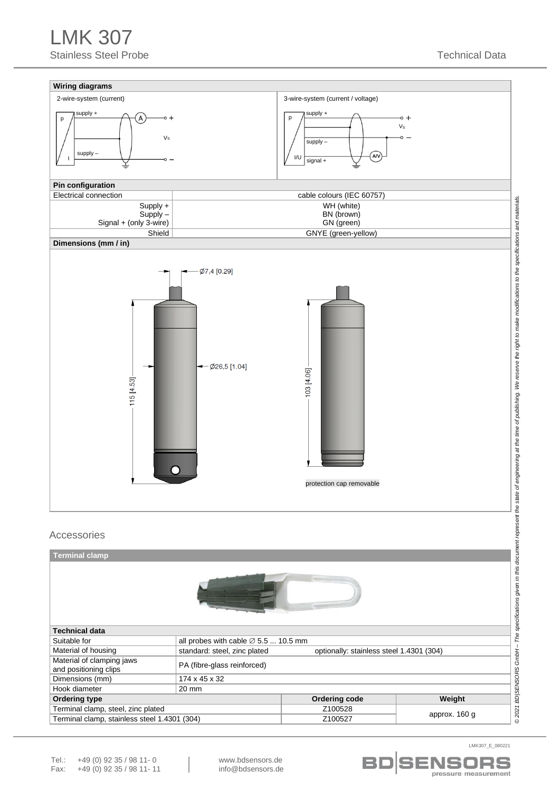



LMK307\_E\_080221